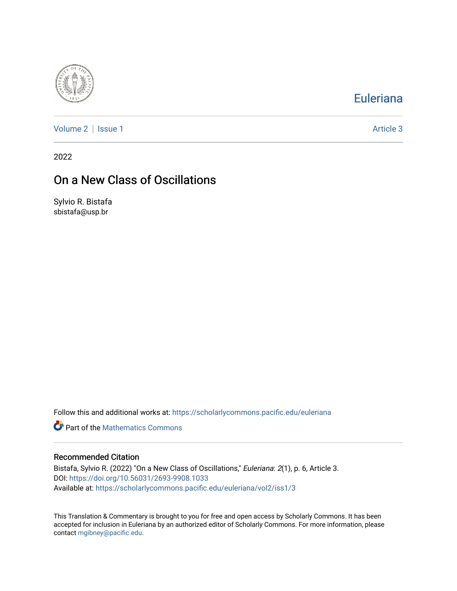

## [Euleriana](https://scholarlycommons.pacific.edu/euleriana)

[Volume 2](https://scholarlycommons.pacific.edu/euleriana/vol2) | [Issue 1](https://scholarlycommons.pacific.edu/euleriana/vol2/iss1) Article 3

2022

# On a New Class of Oscillations

Sylvio R. Bistafa sbistafa@usp.br

Follow this and additional works at: [https://scholarlycommons.pacific.edu/euleriana](https://scholarlycommons.pacific.edu/euleriana?utm_source=scholarlycommons.pacific.edu%2Feuleriana%2Fvol2%2Fiss1%2F3&utm_medium=PDF&utm_campaign=PDFCoverPages) 

**P** Part of the [Mathematics Commons](http://network.bepress.com/hgg/discipline/174?utm_source=scholarlycommons.pacific.edu%2Feuleriana%2Fvol2%2Fiss1%2F3&utm_medium=PDF&utm_campaign=PDFCoverPages)

### Recommended Citation

Bistafa, Sylvio R. (2022) "On a New Class of Oscillations," Euleriana: 2(1), p. 6, Article 3. DOI:<https://doi.org/10.56031/2693-9908.1033> Available at: [https://scholarlycommons.pacific.edu/euleriana/vol2/iss1/3](https://scholarlycommons.pacific.edu/euleriana/vol2/iss1/3?utm_source=scholarlycommons.pacific.edu%2Feuleriana%2Fvol2%2Fiss1%2F3&utm_medium=PDF&utm_campaign=PDFCoverPages)

This Translation & Commentary is brought to you for free and open access by Scholarly Commons. It has been accepted for inclusion in Euleriana by an authorized editor of Scholarly Commons. For more information, please contact [mgibney@pacific.edu](mailto:mgibney@pacific.edu).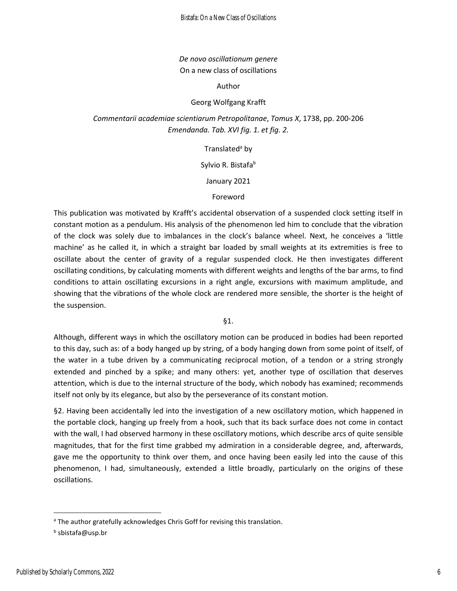## *De novo oscillationum genere* On a new class of oscillations

Author

## Georg Wolfgang Krafft

*Commentarii academiae scientiarum Petropolitanae*, *Tomus X*, 1738, pp. 200-206 *Emendanda. Tab. XVI fig. 1. et fig. 2.*

### Translated<sup>a</sup> by

Sylvio R. Bistafab

### January 2021

### Foreword

This publication was motivated by Krafft's accidental observation of a suspended clock setting itself in constant motion as a pendulum. His analysis of the phenomenon led him to conclude that the vibration of the clock was solely due to imbalances in the clock's balance wheel. Next, he conceives a 'little machine' as he called it, in which a straight bar loaded by small weights at its extremities is free to oscillate about the center of gravity of a regular suspended clock. He then investigates different oscillating conditions, by calculating moments with different weights and lengths of the bar arms, to find conditions to attain oscillating excursions in a right angle, excursions with maximum amplitude, and showing that the vibrations of the whole clock are rendered more sensible, the shorter is the height of the suspension.

§1.

Although, different ways in which the oscillatory motion can be produced in bodies had been reported to this day, such as: of a body hanged up by string, of a body hanging down from some point of itself, of the water in a tube driven by a communicating reciprocal motion, of a tendon or a string strongly extended and pinched by a spike; and many others: yet, another type of oscillation that deserves attention, which is due to the internal structure of the body, which nobody has examined; recommends itself not only by its elegance, but also by the perseverance of its constant motion.

§2. Having been accidentally led into the investigation of a new oscillatory motion, which happened in the portable clock, hanging up freely from a hook, such that its back surface does not come in contact with the wall, I had observed harmony in these oscillatory motions, which describe arcs of quite sensible magnitudes, that for the first time grabbed my admiration in a considerable degree, and, afterwards, gave me the opportunity to think over them, and once having been easily led into the cause of this phenomenon, I had, simultaneously, extended a little broadly, particularly on the origins of these oscillations.

<sup>&</sup>lt;sup>a</sup> The author gratefully acknowledges Chris Goff for revising this translation.

b sbistafa@usp.br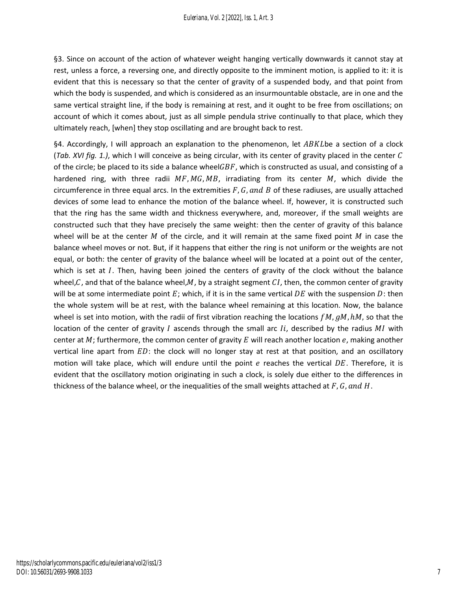§3. Since on account of the action of whatever weight hanging vertically downwards it cannot stay at rest, unless a force, a reversing one, and directly opposite to the imminent motion, is applied to it: it is evident that this is necessary so that the center of gravity of a suspended body, and that point from which the body is suspended, and which is considered as an insurmountable obstacle, are in one and the same vertical straight line, if the body is remaining at rest, and it ought to be free from oscillations; on account of which it comes about, just as all simple pendula strive continually to that place, which they ultimately reach, [when] they stop oscillating and are brought back to rest.

§4. Accordingly, I will approach an explanation to the phenomenon, let  $ABKL$ be a section of a clock (*Tab. XVI fig. 1.)*, which I will conceive as being circular, with its center of gravity placed in the center of the circle; be placed to its side a balance wheel $GBF$ , which is constructed as usual, and consisting of a hardened ring, with three radii  $MF, MG, MB$ , irradiating from its center  $M$ , which divide the circumference in three equal arcs. In the extremities  $F$ ,  $G$ , and  $B$  of these radiuses, are usually attached devices of some lead to enhance the motion of the balance wheel. If, however, it is constructed such that the ring has the same width and thickness everywhere, and, moreover, if the small weights are constructed such that they have precisely the same weight: then the center of gravity of this balance wheel will be at the center  $M$  of the circle, and it will remain at the same fixed point  $M$  in case the balance wheel moves or not. But, if it happens that either the ring is not uniform or the weights are not equal, or both: the center of gravity of the balance wheel will be located at a point out of the center, which is set at  $I$ . Then, having been joined the centers of gravity of the clock without the balance wheel, $C$ , and that of the balance wheel, $M$ , by a straight segment  $CI$ , then, the common center of gravity will be at some intermediate point  $E$ ; which, if it is in the same vertical  $DE$  with the suspension D: then the whole system will be at rest, with the balance wheel remaining at this location. Now, the balance wheel is set into motion, with the radii of first vibration reaching the locations  $fM$ ,  $gM$ ,  $hM$ , so that the location of the center of gravity  $I$  ascends through the small arc  $I_i$ , described by the radius  $MI$  with center at  $M$ ; furthermore, the common center of gravity  $E$  will reach another location  $e$ , making another vertical line apart from  $ED$ : the clock will no longer stay at rest at that position, and an oscillatory motion will take place, which will endure until the point  $e$  reaches the vertical  $DE$ . Therefore, it is evident that the oscillatory motion originating in such a clock, is solely due either to the differences in thickness of the balance wheel, or the inequalities of the small weights attached at  $F$ ,  $G$ , and  $H$ .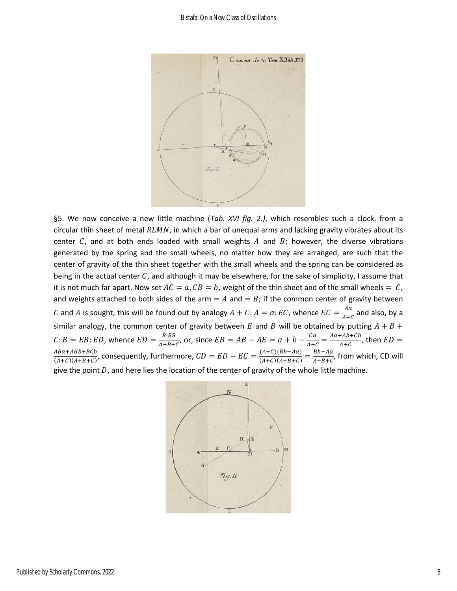

§5. We now conceive a new little machine (*Tab. XVI fig. 2.)*, which resembles such a clock, from a circular thin sheet of metal  $RLMN$ , in which a bar of unequal arms and lacking gravity vibrates about its center C, and at both ends loaded with small weights A and B; however, the diverse vibrations generated by the spring and the small wheels, no matter how they are arranged, are such that the center of gravity of the thin sheet together with the small wheels and the spring can be considered as being in the actual center  $C$ , and although it may be elsewhere, for the sake of simplicity, I assume that it is not much far apart. Now set  $AC = a$ ,  $CB = b$ , weight of the thin sheet and of the small wheels = C, and weights attached to both sides of the arm =  $A$  and =  $B$ ; if the common center of gravity between C and A is sought, this will be found out by analogy  $A + C$ :  $A = a$ : EC, whence  $EC = \frac{Aa}{4\pi\epsilon}$  $\frac{du}{A+C}$  and also, by a similar analogy, the common center of gravity between E and B will be obtained by putting  $A + B +$  $C: B = EB: ED$ , whence  $ED = \frac{B \cdot EB}{4 + B + B}$  $\frac{B \cdot EB}{A+B+C}$ , or, since  $EB = AB - AE = a + b - \frac{Ca}{A+C}$  $\frac{Ca}{A+C} = \frac{Aa + Ab + Cb}{A+C}$  $\frac{FAD+CD}{A+C}$ , then  $ED =$ 4Ba+ABb+BCb  $\frac{ABa+ABb+BCb}{(A+C)(A+B+C)}$ , consequently, furthermore,  $CD=ED-EC=\frac{(A+C)(Bb-Aa)}{(A+C)(A+B+C)}$  $\frac{(A+C)(Bb-Aa)}{(A+C)(A+B+C)} = \frac{Bb-Aa}{A+B+C}$  $\frac{BD - A\alpha}{A + B + C'}$  from which, CD will give the point  $D$ , and here lies the location of the center of gravity of the whole little machine.

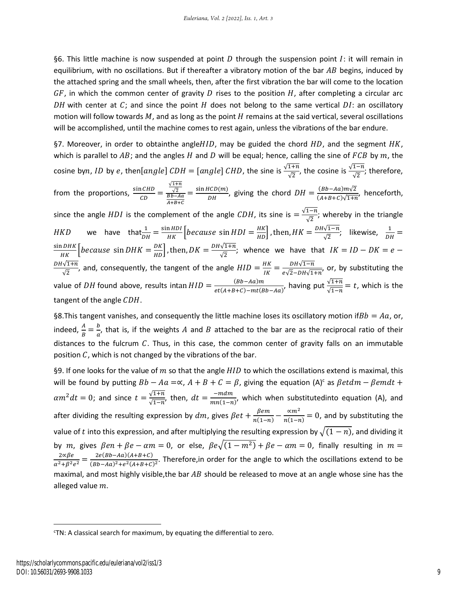§6. This little machine is now suspended at point D through the suspension point I: it will remain in equilibrium, with no oscillations. But if thereafter a vibratory motion of the bar  $AB$  begins, induced by the attached spring and the small wheels, then, after the first vibration the bar will come to the location  $GF$ , in which the common center of gravity D rises to the position H, after completing a circular arc DH with center at  $C_i$ ; and since the point H does not belong to the same vertical DI: an oscillatory motion will follow towards  $M$ , and as long as the point  $H$  remains at the said vertical, several oscillations will be accomplished, until the machine comes to rest again, unless the vibrations of the bar endure.

§7. Moreover, in order to obtainthe angle $HID$ , may be guided the chord  $HD$ , and the segment  $HK$ , which is parallel to  $AB$ ; and the angles  $H$  and  $D$  will be equal; hence, calling the sine of  $FCB$  by  $m$ , the cosine by $n$ , ID by  $e$ , then $[angle]$   $CDH=[angle]$   $CHD$ , the sine is  $\frac{\sqrt{1+n}}{\sqrt{2}}$ , the cosine is  $\frac{\sqrt{1-n}}{\sqrt{2}}$ ; therefore, from the proportions,  $\frac{\sin CHD}{CD}$  =  $\sqrt{1+n}$  $\frac{\sqrt{2}}{Bb - Aa}$  $A+B+C$  $=\frac{\sin HCD(m)}{d}$  $\frac{dCD(m)}{DH}$ , giving the chord  $DH = \frac{(Bb-Aa)m\sqrt{2}}{(A+B+C)\sqrt{1+r}}$  $\frac{(BD \text{ A}a)m\sqrt{2}}{(A+B+C)\sqrt{1+n}}$ , henceforth, since the angle  $HDI$  is the complement of the angle  $CDH$ , its sine is  $=\frac{\sqrt{1-n}}{\sqrt{2}}$  $\frac{1}{\sqrt{2}}$ ; whereby in the triangle *HKD* we have that  $\frac{1}{DH} = \frac{\sin HDI}{HK}$  *because* sin *HDI*  $= \frac{HK}{HD}$ , then,  $HK = \frac{DH\sqrt{1-n}}{\sqrt{2}}$  $\frac{\sqrt{1-n}}{\sqrt{2}}$ ; likewise,  $\frac{1}{DH}$  =  $\frac{\sin{DHK}}{HK}$   $\left[because \sin{DHK} = \frac{DK}{HD} \right]$ , then,  $DK = \frac{DH\sqrt{1+n}}{\sqrt{2}}$  $\frac{\sqrt{1+h}}{\sqrt{2}}$ ; whence we have that  $IK = ID - DK = e -$ DH $\sqrt{1+n}$  $\frac{\sqrt{1+n}}{\sqrt{2}}$ , and, consequently, the tangent of the angle  $HID = \frac{HK}{IK}$  $\frac{HK}{IK} = \frac{DH\sqrt{1-n}}{e\sqrt{2}-DH\sqrt{1-n}}$  $\frac{DHY_1-n}{PQ\sqrt{2}-DH\sqrt{1+n'}}$ , or, by substituting the value of DH found above, results intan  $HID = \frac{(Bb - Aa)m}{\sigma^2 (A + B + C) \cdot m^2 (Bb^2)}$  $\frac{(Bb-Aa)m}{et(A+B+C)-mt(Bb-Aa)}$ , having put  $\frac{\sqrt{1+n}}{\sqrt{1-n}}=t$ , which is the tangent of the angle  $CDH$ .

§8. This tangent vanishes, and consequently the little machine loses its oscillatory motion if  $Bb = Aa$ , or, indeed,  $\frac{A}{B} = \frac{b}{a}$  $\frac{\partial}{\partial a}$ , that is, if the weights A and B attached to the bar are as the reciprocal ratio of their distances to the fulcrum  $C$ . Thus, in this case, the common center of gravity falls on an immutable position  $C$ , which is not changed by the vibrations of the bar.

§9. If one looks for the value of  $m$  so that the angle  $HID$  to which the oscillations extend is maximal, this will be found by putting  $Bb - Aa = \propto$ ,  $A + B + C = \beta$ , giving the equation (A)<sup>c</sup> as  $\beta$ etdm –  $\beta$ emdt +  $\alpha m^2 dt = 0$ ; and since  $t = \frac{\sqrt{1+n}}{\sqrt{1+n}}$  $\frac{\sqrt{1+n}}{\sqrt{1-n}}$ , then,  $dt = \frac{-mdm}{mn(1-n)}$  $\frac{m n}{mn(1-n)}$ , which when substitutedinto equation (A), and after dividing the resulting expression by  $dm$ , gives  $\beta e t + \frac{\beta e m}{\gamma (1-\gamma)}$  $\frac{\beta e m}{n(1-n)} - \frac{\alpha m^2}{n(1-n)}$  $\frac{\alpha m}{n(1-n)} = 0$ , and by substituting the value of t into this expression, and after multiplying the resulting expression by  $\sqrt{(1-n)}$ , and dividing it by m, gives  $\beta en + \beta e - \alpha m = 0$ , or else,  $\beta e \sqrt{(1 - m^2)} + \beta e - \alpha m = 0$ , finally resulting in  $m =$ 2∝βe  $\frac{2 \alpha \beta e}{\alpha^2 + \beta^2 e^2} = \frac{2e(Bb - Aa)(A + B + C)}{(Bb - Aa)^2 + e^2(A + B + C)}$  $\frac{2\epsilon (BD-Aa)^2 + e^2(A+B+C)}{(Bb-Aa)^2 + e^2(A+B+C)^2}$ . Therefore,in order for the angle to which the oscillations extend to be maximal, and most highly visible, the bar AB should be released to move at an angle whose sine has the alleged value  $m$ .

<sup>c</sup>TN: A classical search for maximum, by equating the differential to zero.